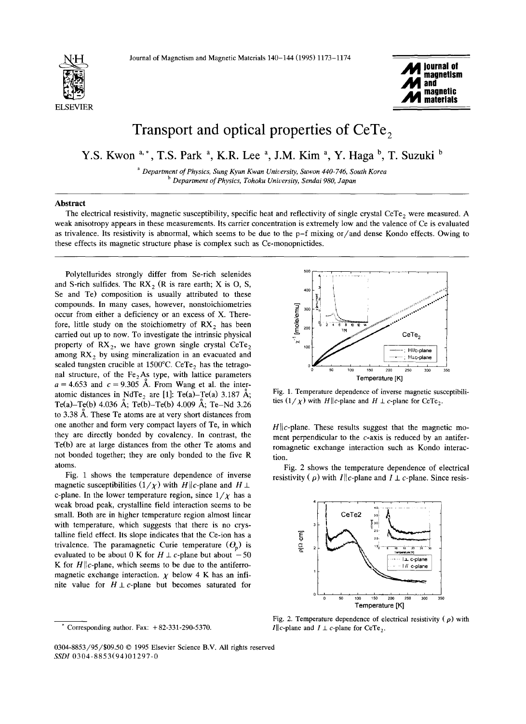



## Transport and optical properties of CeTe<sub>2</sub>

**Y.S. Kwon a,\*, T.S. Park a, K.R. Lee a, J.M. Kim a, y. Haga b, T. Suzuki b** 

*a Department of Physics, Sung Kyun Kwan University, Suwon 440-746, South Korea b Department of Physics, Tohoku Uniuersity, Sendai 980, Japan* 

## Abstract

The electrical resistivity, magnetic susceptibility, specific heat and reflectivity of single crystal CeTe, were measured. A weak anisotropy appears in these measurements. Its carrier concentration is extremely low and the valence of Ce is evaluated as trivalence. Its resistivity is abnormal, which seems to be due to the p-f mixing or/and dense Kondo effects. Owing to these effects its magnetic structure phase is complex such as Ce-monopnictides.

Polytellurides strongly differ from Se-rich selenides and S-rich sulfides. The  $RX_2$  (R is rare earth; X is O, S, Se and Te) composition is usually attributed to these compounds. In many cases, however, nonstoichiometries occur from either a deficiency or an excess of X. Therefore, little study on the stoichiometry of  $RX_2$  has been carried out up to now. To investigate the intrinsic physical property of  $RX_2$ , we have grown single crystal CeTe, among  $RX<sub>2</sub>$  by using mineralization in an evacuated and sealed tungsten crucible at  $1500^{\circ}$ C. CeTe<sub>2</sub> has the tetragonal structure, of the  $Fe<sub>2</sub> As$  type, with lattice parameters  $a = 4.653$  and  $c = 9.305$  Å. From Wang et al. the interatomic distances in NdTe<sub>2</sub> are [1]: Te(a)-Te(a) 3.187 Å; Te(a)-Te(b) 4.036 Å; Te(b)-Te(b) 4.009 Å; Te-Nd 3.26 to 3.38 A. These Te atoms are at very short distances from one another and form very compact layers of Te, in which they are directly bonded by covalency. In contrast, the Te(b) are at large distances from the other Te atoms and not bonded together; they are only bonded to the five R atoms.

Fig. 1 shows the temperature dependence of inverse magnetic susceptibilities  $(1/\chi)$  with H||c-plane and H  $\perp$ c-plane. In the lower temperature region, since  $1/\chi$  has a weak broad peak, crystalline field interaction seems to be small. Both are in higher temperature region almost linear with temperature, which suggests that there is no crystalline field effect. Its slope indicates that the Ce-ion has a trivalence. The paramagnetic Curie temperature  $(\theta_n)$  is evaluated to be about 0 K for  $H \perp c$ -plane but about  $-50$ K for  $H||c$ -plane, which seems to be due to the antiferromagnetic exchange interaction.  $\chi$  below 4 K has an infinite value for  $H \perp c$ -plane but becomes saturated for



Fig. 1. Temperature dependence of inverse magnetic susceptibilities  $(1/\chi)$  with H||c-plane and  $H \perp c$ -plane for CeTe<sub>2</sub>.

 $H||c$ -plane. These results suggest that the magnetic moment perpendicular to the c-axis is reduced by an antiferromagnetic exchange interaction such as Kondo interaction.

Fig. 2 shows the temperature dependence of electrical resistivity ( $\rho$ ) with *I*||c-plane and *I*  $\perp$  c-plane. Since resis-



Fig. 2. Temperature dependence of electrical resistivity ( $\rho$ ) with  $I||c$ -plane and  $I \perp c$ -plane for CeTe<sub>2</sub>.

Corresponding author. Fax:  $+82-331-290-5370$ .

<sup>0304-8853/95//\$09.50 © 1995</sup> Elsevier Science B.V. All rights reserved *SSDI* 0304-8853(94)01297-0